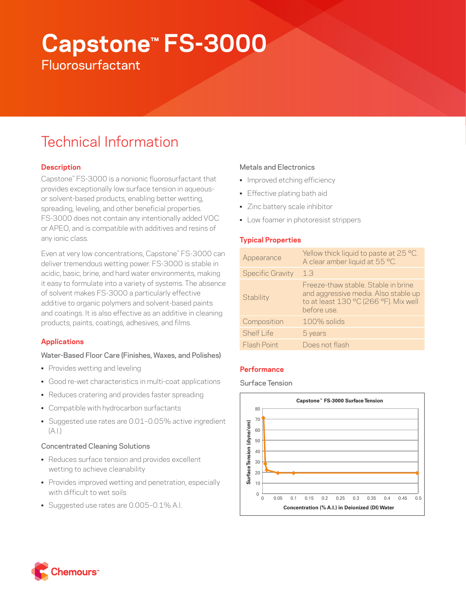# **Capstone™ FS-3000**

**Fluorosurfactant** 

# Technical Information

# **Description**

Capstone™ FS-3000 is a nonionic fluorosurfactant that provides exceptionally low surface tension in aqueousor solvent-based products, enabling better wetting, spreading, leveling, and other beneficial properties. FS-3000 does not contain any intentionally added VOC or APEO, and is compatible with additives and resins of any ionic class.

Even at very low concentrations, Capstone™ FS-3000 can deliver tremendous wetting power. FS-3000 is stable in acidic, basic, brine, and hard water environments, making it easy to formulate into a variety of systems. The absence of solvent makes FS-3000 a particularly effective additive to organic polymers and solvent-based paints and coatings. It is also effective as an additive in cleaning products, paints, coatings, adhesives, and films.

# **Applications**

# Water-Based Floor Care (Finishes, Waxes, and Polishes)

- Provides wetting and leveling
- Good re-wet characteristics in multi-coat applications
- Reduces cratering and provides faster spreading
- Compatible with hydrocarbon surfactants
- Suggested use rates are 0.01–0.05% active ingredient  $(A.|.)$

# Concentrated Cleaning Solutions

- Reduces surface tension and provides excellent wetting to achieve cleanability
- Provides improved wetting and penetration, especially with difficult to wet soils
- Suggested use rates are 0.005–0.1% A.I.

# Metals and Electronics

- Improved etching efficiency
- Effective plating bath aid
- Zinc battery scale inhibitor
- Low foamer in photoresist strippers

# **Typical Properties**

| Appearance              | Yellow thick liquid to paste at 25 °C.<br>A clear amber liquid at 55 °C.                                                            |
|-------------------------|-------------------------------------------------------------------------------------------------------------------------------------|
| <b>Specific Gravity</b> | 1.3                                                                                                                                 |
| Stability               | Freeze-thaw stable. Stable in brine<br>and aggressive media. Also stable up<br>to at least 130 °C (266 °F). Mix well<br>before use. |
| Composition             | 100% solids                                                                                                                         |
| Shelf Life              | 5 years                                                                                                                             |
| Flash Point             | Does not flash                                                                                                                      |

# **Performance**

# Surface Tension